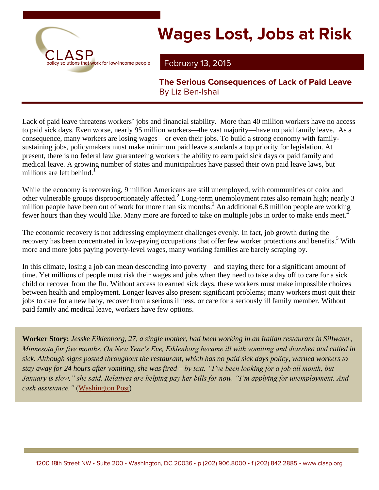

# **Wages Lost, Jobs at Risk**

### **February 13, 2015**

**The Serious Consequences of Lack of Paid Leave** By Liz Ben-Ishai

Lack of paid leave threatens workers' jobs and financial stability. More than 40 million workers have no access to paid sick days. Even worse, nearly 95 million workers—the vast majority—have no paid family leave. As a consequence, many workers are losing wages—or even their jobs. To build a strong economy with familysustaining jobs, policymakers must make minimum paid leave standards a top priority for legislation. At present, there is no federal law guaranteeing workers the ability to earn paid sick days or paid family and medical leave. A growing number of states and municipalities have passed their own paid leave laws, but millions are left behind.<sup>1</sup>

While the economy is recovering, 9 million Americans are still unemployed, with communities of color and other vulnerable groups disproportionately affected.<sup>2</sup> Long-term unemployment rates also remain high; nearly 3 million people have been out of work for more than six months.<sup>3</sup> An additional 6.8 million people are working fewer hours than they would like. Many more are forced to take on multiple jobs in order to make ends meet.<sup>4</sup>

The economic recovery is not addressing employment challenges evenly. In fact, job growth during the recovery has been concentrated in low-paying occupations that offer few worker protections and benefits.<sup>5</sup> With more and more jobs paying poverty-level wages, many working families are barely scraping by.

In this climate, losing a job can mean descending into poverty—and staying there for a significant amount of time. Yet millions of people must risk their wages and jobs when they need to take a day off to care for a sick child or recover from the flu. Without access to earned sick days, these workers must make impossible choices between health and employment. Longer leaves also present significant problems; many workers must quit their jobs to care for a new baby, recover from a serious illness, or care for a seriously ill family member. Without paid family and medical leave, workers have few options.

**Worker Story:** *Jesske Eiklenborg, 27, a single mother, had been working in an Italian restaurant in Sillwater, Minnesota for five months. On New Year's Eve, Eiklenborg became ill with vomiting and diarrhea and called in sick. Although signs posted throughout the restaurant, which has no paid sick days policy, warned workers to stay away for 24 hours after vomiting, she was fired – by text. "I've been looking for a job all month, but January is slow," she said. Relatives are helping pay her bills for now. "I'm applying for unemployment. And cash assistance."* [\(Washington Post\)](http://www.washingtonpost.com/news/local/wp/2015/01/21/voters-want-paid-leave-paid-sick-days-poll-shows-obama-too-will-congress-oblige/)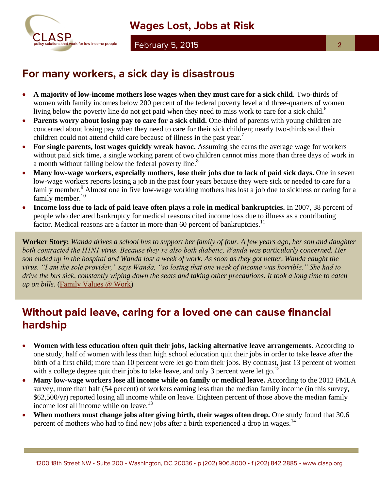

#### **February 5, 2015**

- **A majority of low-income mothers lose wages when they must care for a sick child**. Two-thirds of women with family incomes below 200 percent of the federal poverty level and three-quarters of women living below the poverty line do not get paid when they need to miss work to care for a sick child.<sup>6</sup>
- Parents worry about losing pay to care for a sick child. One-third of parents with young children are concerned about losing pay when they need to care for their sick children; nearly two-thirds said their children could not attend child care because of illness in the past year.<sup>7</sup>
- **For single parents, lost wages quickly wreak havoc.** Assuming she earns the average wage for workers without paid sick time, a single working parent of two children cannot miss more than three days of work in a month without falling below the federal poverty line.<sup>8</sup>
- **Many low-wage workers, especially mothers, lose their jobs due to lack of paid sick days.** One in seven low-wage workers reports losing a job in the past four years because they were sick or needed to care for a family member.<sup>9</sup> Almost one in five low-wage working mothers has lost a job due to sickness or caring for a family member.<sup>10</sup>
- **Income loss due to lack of paid leave often plays a role in medical bankruptcies.** In 2007, 38 percent of people who declared bankruptcy for medical reasons cited income loss due to illness as a contributing factor. Medical reasons are a factor in more than 60 percent of bankruptcies.<sup>11</sup>

**Worker Story:** *Wanda drives a school bus to support her family of four. A few years ago, her son and daughter both contracted the H1N1 virus. Because they're also both diabetic, Wanda was particularly concerned. Her son ended up in the hospital and Wanda lost a week of work. As soon as they got better, Wanda caught the virus. "I am the sole provider," says Wanda, "so losing that one week of income was horrible." She had to drive the bus sick, constantly wiping down the seats and taking other precautions. It took a long time to catch up on bills.* [\(Family Values @ Work\)](http://familyvaluesatwork.org/wp-content/uploads/2014/05/FVAW-2014-0005_FINAL_4web_spreads.pdf)

# Without paid leave, caring for a loved one can cause financial hardship

- **Women with less education often quit their jobs, lacking alternative leave arrangements**. According to one study, half of women with less than high school education quit their jobs in order to take leave after the birth of a first child; more than 10 percent were let go from their jobs. By contrast, just 13 percent of women with a college degree quit their jobs to take leave, and only 3 percent were let go.<sup>12</sup>
- Many low-wage workers lose all income while on family or medical leave. According to the 2012 FMLA survey, more than half (54 percent) of workers earning less than the median family income (in this survey, \$62,500/yr) reported losing all income while on leave. Eighteen percent of those above the median family income lost all income while on leave.<sup>13</sup>
- **When mothers must change jobs after giving birth, their wages often drop.** One study found that 30.6 percent of mothers who had to find new jobs after a birth experienced a drop in wages.<sup>14</sup>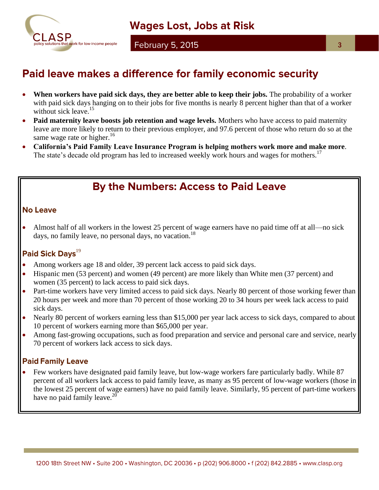

# Paid leave makes a difference for family economic security

- **When workers have paid sick days, they are better able to keep their jobs.** The probability of a worker with paid sick days hanging on to their jobs for five months is nearly 8 percent higher than that of a worker without sick leave.<sup>15</sup>
- **Paid maternity leave boosts job retention and wage levels.** Mothers who have access to paid maternity leave are more likely to return to their previous employer, and 97.6 percent of those who return do so at the same wage rate or higher. $16$
- **California's Paid Family Leave Insurance Program is helping mothers work more and make more**. The state's decade old program has led to increased weekly work hours and wages for mothers.<sup>17</sup>

# **By the Numbers: Access to Paid Leave**

#### **No Leave**

 Almost half of all workers in the lowest 25 percent of wage earners have no paid time off at all—no sick days, no family leave, no personal days, no vacation.<sup>18</sup>

#### Paid Sick Days<sup>19</sup>

- Among workers age 18 and older, 39 percent lack access to paid sick days.
- Hispanic men (53 percent) and women (49 percent) are more likely than White men (37 percent) and women (35 percent) to lack access to paid sick days.
- Part-time workers have very limited access to paid sick days. Nearly 80 percent of those working fewer than 20 hours per week and more than 70 percent of those working 20 to 34 hours per week lack access to paid sick days.
- Nearly 80 percent of workers earning less than \$15,000 per year lack access to sick days, compared to about 10 percent of workers earning more than \$65,000 per year.
- Among fast-growing occupations, such as food preparation and service and personal care and service, nearly 70 percent of workers lack access to sick days.

#### **Paid Family Leave**

 Few workers have designated paid family leave, but low-wage workers fare particularly badly. While 87 percent of all workers lack access to paid family leave, as many as 95 percent of low-wage workers (those in the lowest 25 percent of wage earners) have no paid family leave. Similarly, 95 percent of part-time workers have no paid family leave.<sup>20</sup>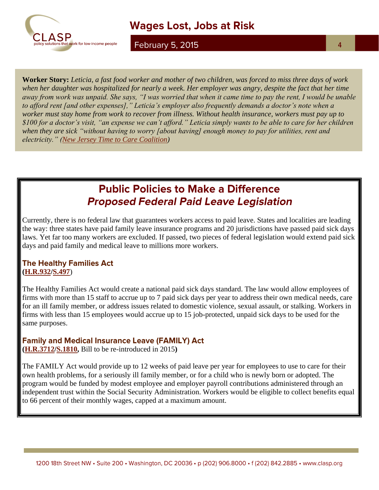

## **Wages Lost, Jobs at Risk**

**February 5, 2015** 

**Worker Story:** *Leticia, a fast food worker and mother of two children, was forced to miss three days of work when her daughter was hospitalized for nearly a week. Her employer was angry, despite the fact that her time away from work was unpaid. She says, "I was worried that when it came time to pay the rent, I would be unable to afford rent [and other expenses]," Leticia's employer also frequently demands a doctor's note when a worker must stay home from work to recover from illness. Without health insurance, workers must pay up to \$100 for a doctor's visit, "an expense we can't afford." Leticia simply wants to be able to care for her children when they are sick "without having to worry [about having] enough money to pay for utilities, rent and electricity." [\(New Jersey Time to Care Coalition\)](http://www.njtimetocare.com/earned-sick-days-stories)*

## **Public Policies to Make a Difference Proposed Federal Paid Leave Legislation**

Currently, there is no federal law that guarantees workers access to paid leave. States and localities are leading the way: three states have paid family leave insurance programs and 20 jurisdictions have passed paid sick days laws. Yet far too many workers are excluded. If passed, two pieces of federal legislation would extend paid sick days and paid family and medical leave to millions more workers.

#### **The Healthy Families Act [\(H.R.932](https://www.congress.gov/bill/114th-congress/house-bill/932?q=%7B%22search%22%3A%5B%22sick+days%22%5D%7D)[/S.497](https://www.congress.gov/bill/114th-congress/senate-bill/497?q=%7B%22search%22%3A%5B%22sick+days%22%5D%7D)**)

The Healthy Families Act would create a national paid sick days standard. The law would allow employees of firms with more than 15 staff to accrue up to 7 paid sick days per year to address their own medical needs, care for an ill family member, or address issues related to domestic violence, sexual assault, or stalking. Workers in firms with less than 15 employees would accrue up to 15 job-protected, unpaid sick days to be used for the same purposes.

#### **Family and Medical Insurance Leave (FAMILY) Act**

**[\(H.R.3712](http://beta.congress.gov/113/bills/hr3712/BILLS-113hr3712ih.pdf)[/S.1810,](http://beta.congress.gov/113/bills/s1810/BILLS-113s1810is.pdf)** Bill to be re-introduced in 2015**)**

The FAMILY Act would provide up to 12 weeks of paid leave per year for employees to use to care for their own health problems, for a seriously ill family member, or for a child who is newly born or adopted. The program would be funded by modest employee and employer payroll contributions administered through an independent trust within the Social Security Administration. Workers would be eligible to collect benefits equal to 66 percent of their monthly wages, capped at a maximum amount.

4